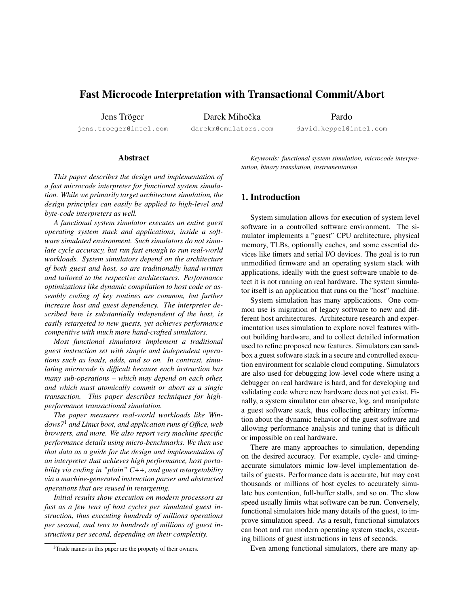# Fast Microcode Interpretation with Transactional Commit/Abort

Jens Tröger

jens.troeger@intel.com

Darek Mihočka darekm@emulators.com Pardo

david.keppel@intel.com

### Abstract

*This paper describes the design and implementation of a fast microcode interpreter for functional system simulation. While we primarily target architecture simulation, the design principles can easily be applied to high-level and byte-code interpreters as well.*

*A functional system simulator executes an entire guest operating system stack and applications, inside a software simulated environment. Such simulators do not simulate cycle accuracy, but run fast enough to run real-world workloads. System simulators depend on the architecture of both guest and host, so are traditionally hand-written and tailored to the respective architectures. Performance optimizations like dynamic compilation to host code or assembly coding of key routines are common, but further increase host and guest dependency. The interpreter described here is substantially independent of the host, is easily retargeted to new guests, yet achieves performance competitive with much more hand-crafted simulators.*

*Most functional simulators implement a traditional guest instruction set with simple and independent operations such as loads, adds, and so on. In contrast, simulating microcode is difficult because each instruction has many sub-operations – which may depend on each other, and which must atomically commit or abort as a single transaction. This paper describes techniques for highperformance transactional simulation.*

*The paper measures real-world workloads like Windows7*<sup>1</sup> *and Linux boot, and application runs of Office, web browsers, and more. We also report very machine specific performance details using micro-benchmarks. We then use that data as a guide for the design and implementation of an interpreter that achieves high performance, host portability via coding in "plain" C++, and guest retargetability via a machine-generated instruction parser and abstracted operations that are reused in retargeting.*

*Initial results show execution on modern processors as fast as a few tens of host cycles per simulated guest instruction, thus executing hundreds of millions operations per second, and tens to hundreds of millions of guest instructions per second, depending on their complexity.*

*Keywords: functional system simulation, microcode interpretation, binary translation, instrumentation*

### 1. Introduction

System simulation allows for execution of system level software in a controlled software environment. The simulator implements a "guest" CPU architecture, physical memory, TLBs, optionally caches, and some essential devices like timers and serial I/O devices. The goal is to run unmodified firmware and an operating system stack with applications, ideally with the guest software unable to detect it is not running on real hardware. The system simulator itself is an application that runs on the "host" machine.

System simulation has many applications. One common use is migration of legacy software to new and different host architectures. Architecture research and experimentation uses simulation to explore novel features without building hardware, and to collect detailed information used to refine proposed new features. Simulators can sandbox a guest software stack in a secure and controlled execution environment for scalable cloud computing. Simulators are also used for debugging low-level code where using a debugger on real hardware is hard, and for developing and validating code where new hardware does not yet exist. Finally, a system simulator can observe, log, and manipulate a guest software stack, thus collecting arbitrary information about the dynamic behavior of the guest software and allowing performance analysis and tuning that is difficult or impossible on real hardware.

There are many approaches to simulation, depending on the desired accuracy. For example, cycle- and timingaccurate simulators mimic low-level implementation details of guests. Performance data is accurate, but may cost thousands or millions of host cycles to accurately simulate bus contention, full-buffer stalls, and so on. The slow speed usually limits what software can be run. Conversely, functional simulators hide many details of the guest, to improve simulation speed. As a result, functional simulators can boot and run modern operating system stacks, executing billions of guest instructions in tens of seconds.

Even among functional simulators, there are many ap-

<sup>&</sup>lt;sup>1</sup>Trade names in this paper are the property of their owners.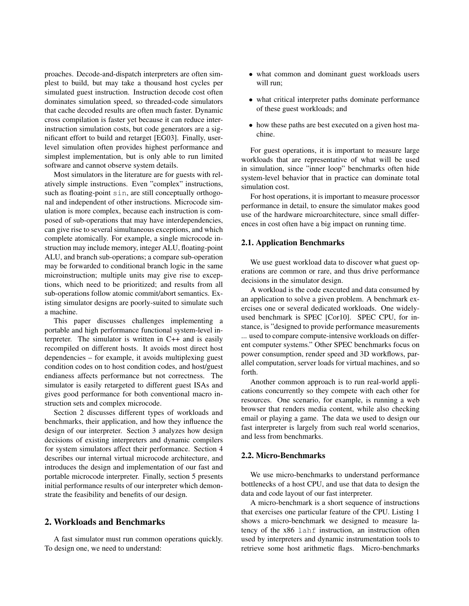proaches. Decode-and-dispatch interpreters are often simplest to build, but may take a thousand host cycles per simulated guest instruction. Instruction decode cost often dominates simulation speed, so threaded-code simulators that cache decoded results are often much faster. Dynamic cross compilation is faster yet because it can reduce interinstruction simulation costs, but code generators are a significant effort to build and retarget [EG03]. Finally, userlevel simulation often provides highest performance and simplest implementation, but is only able to run limited software and cannot observe system details.

Most simulators in the literature are for guests with relatively simple instructions. Even "complex" instructions, such as floating-point sin, are still conceptually orthogonal and independent of other instructions. Microcode simulation is more complex, because each instruction is composed of sub-operations that may have interdependencies, can give rise to several simultaneous exceptions, and which complete atomically. For example, a single microcode instruction may include memory, integer ALU, floating-point ALU, and branch sub-operations; a compare sub-operation may be forwarded to conditional branch logic in the same microinstruction; multiple units may give rise to exceptions, which need to be prioritized; and results from all sub-operations follow atomic commit/abort semantics. Existing simulator designs are poorly-suited to simulate such a machine.

This paper discusses challenges implementing a portable and high performance functional system-level interpreter. The simulator is written in C++ and is easily recompiled on different hosts. It avoids most direct host dependencies – for example, it avoids multiplexing guest condition codes on to host condition codes, and host/guest endianess affects performance but not correctness. The simulator is easily retargeted to different guest ISAs and gives good performance for both conventional macro instruction sets and complex microcode.

Section 2 discusses different types of workloads and benchmarks, their application, and how they influence the design of our interpreter. Section 3 analyzes how design decisions of existing interpreters and dynamic compilers for system simulators affect their performance. Section 4 describes our internal virtual microcode architecture, and introduces the design and implementation of our fast and portable microcode interpreter. Finally, section 5 presents initial performance results of our interpreter which demonstrate the feasibility and benefits of our design.

### 2. Workloads and Benchmarks

A fast simulator must run common operations quickly. To design one, we need to understand:

- what common and dominant guest workloads users will run;
- what critical interpreter paths dominate performance of these guest workloads; and
- how these paths are best executed on a given host machine.

For guest operations, it is important to measure large workloads that are representative of what will be used in simulation, since "inner loop" benchmarks often hide system-level behavior that in practice can dominate total simulation cost.

For host operations, it is important to measure processor performance in detail, to ensure the simulator makes good use of the hardware microarchitecture, since small differences in cost often have a big impact on running time.

#### 2.1. Application Benchmarks

We use guest workload data to discover what guest operations are common or rare, and thus drive performance decisions in the simulator design.

A workload is the code executed and data consumed by an application to solve a given problem. A benchmark exercises one or several dedicated workloads. One widelyused benchmark is SPEC [Cor10]. SPEC CPU, for instance, is "designed to provide performance measurements ... used to compare compute-intensive workloads on different computer systems." Other SPEC benchmarks focus on power consumption, render speed and 3D workflows, parallel computation, server loads for virtual machines, and so forth.

Another common approach is to run real-world applications concurrently so they compete with each other for resources. One scenario, for example, is running a web browser that renders media content, while also checking email or playing a game. The data we used to design our fast interpreter is largely from such real world scenarios, and less from benchmarks.

#### 2.2. Micro-Benchmarks

We use micro-benchmarks to understand performance bottlenecks of a host CPU, and use that data to design the data and code layout of our fast interpreter.

A micro-benchmark is a short sequence of instructions that exercises one particular feature of the CPU. Listing 1 shows a micro-benchmark we designed to measure latency of the x86 lahf instruction, an instruction often used by interpreters and dynamic instrumentation tools to retrieve some host arithmetic flags. Micro-benchmarks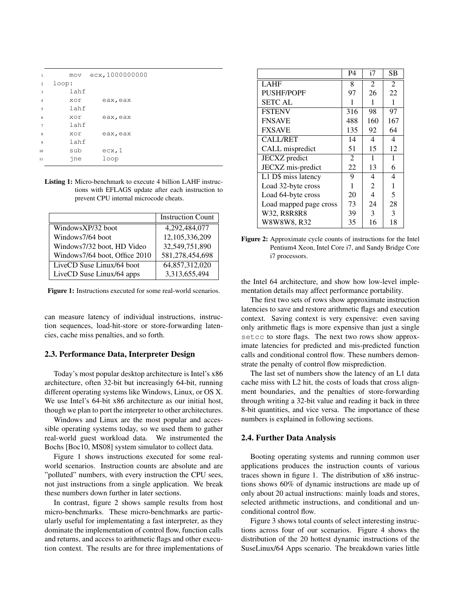| $\mathbf{1}$   |       | mov ecx, 1000000000 |
|----------------|-------|---------------------|
| 2              | loop: |                     |
| 3              | lahf  |                     |
| $\overline{4}$ | xor   | eax, eax            |
| 5              | lahf  |                     |
| 6              | xor   | eax, eax            |
| $\overline{7}$ | lahf  |                     |
| 8              | xor   | eax, eax            |
| 9              | lahf  |                     |
| 10             | sub   | ecx, 1              |
| 11             | ine   | loop                |

Listing 1: Micro-benchmark to execute 4 billion LAHF instructions with EFLAGS update after each instruction to prevent CPU internal microcode cheats.

|                               | <b>Instruction Count</b> |
|-------------------------------|--------------------------|
| WindowsXP/32 boot             | 4,292,484,077            |
| Windows7/64 boot              | 12,105,336,209           |
| Windows7/32 boot, HD Video    | 32,549,751,890           |
| Windows7/64 boot, Office 2010 | 581,278,454,698          |
| LiveCD Suse Linux/64 boot     | 64,857,312,020           |
| LiveCD Suse Linux/64 apps     | 3,313,655,494            |

Figure 1: Instructions executed for some real-world scenarios.

can measure latency of individual instructions, instruction sequences, load-hit-store or store-forwarding latencies, cache miss penalties, and so forth.

#### 2.3. Performance Data, Interpreter Design

Today's most popular desktop architecture is Intel's x86 architecture, often 32-bit but increasingly 64-bit, running different operating systems like Windows, Linux, or OS X. We use Intel's 64-bit x86 architecture as our initial host, though we plan to port the interpreter to other architectures.

Windows and Linux are the most popular and accessible operating systems today, so we used them to gather real-world guest workload data. We instrumented the Bochs [Boc10, MS08] system simulator to collect data.

Figure 1 shows instructions executed for some realworld scenarios. Instruction counts are absolute and are "polluted" numbers, with every instruction the CPU sees, not just instructions from a single application. We break these numbers down further in later sections.

In contrast, figure 2 shows sample results from host micro-benchmarks. These micro-benchmarks are particularly useful for implementating a fast interpreter, as they dominate the implementation of control flow, function calls and returns, and access to arithmetic flags and other execution context. The results are for three implementations of

|                                  | P <sub>4</sub> | i7             | SВ             |
|----------------------------------|----------------|----------------|----------------|
| <b>LAHF</b>                      | 8              | $\overline{2}$ | $\overline{2}$ |
| <b>PUSHF/POPF</b>                | 97             | 26             | 22             |
| <b>SETC AL</b>                   |                | 1              | 1              |
| <b>FSTENV</b>                    | 316            | 98             | 97             |
| <b>FNSAVE</b>                    | 488            | 160            | 167            |
| <b>FXSAVE</b>                    | 135            | 92             | 64             |
| <b>CALL/RET</b>                  | 14             | 4              | 4              |
| CALL mispredict                  | 51             | 15             | 12             |
| JECXZ predict                    | 2              | 1              | 1              |
| JECXZ mis-predict                | 22             | 13             | 6              |
| $\overline{L1}$ D\$ miss latency | 9              | 4              | 4              |
| Load 32-byte cross               | 1              | 2              | 1              |
| Load 64-byte cross               | 20             | 4              | 5              |
| Load mapped page cross           | 73             | 24             | 28             |
| W32, R8R8R8                      | 39             | 3              | 3              |
| W8W8W8, R32                      | 35             | 16             | 18             |

Figure 2: Approximate cycle counts of instructions for the Intel Pentium4 Xeon, Intel Core i7, and Sandy Bridge Core i7 processors.

the Intel 64 architecture, and show how low-level implementation details may affect performance portability.

The first two sets of rows show approximate instruction latencies to save and restore arithmetic flags and execution context. Saving context is very expensive: even saving only arithmetic flags is more expensive than just a single setcc to store flags. The next two rows show approximate latencies for predicted and mis-predicted function calls and conditional control flow. These numbers demonstrate the penalty of control flow misprediction.

The last set of numbers show the latency of an L1 data cache miss with L2 hit, the costs of loads that cross alignment boundaries, and the penalties of store-forwarding through writing a 32-bit value and reading it back in three 8-bit quantities, and vice versa. The importance of these numbers is explained in following sections.

#### 2.4. Further Data Analysis

Booting operating systems and running common user applications produces the instruction counts of various traces shown in figure 1. The distribution of x86 instructions shows 60% of dynamic instructions are made up of only about 20 actual instructions: mainly loads and stores, selected arithmetic instructions, and conditional and unconditional control flow.

Figure 3 shows total counts of select interesting instructions across four of our scenarios. Figure 4 shows the distribution of the 20 hottest dynamic instructions of the SuseLinux/64 Apps scenario. The breakdown varies little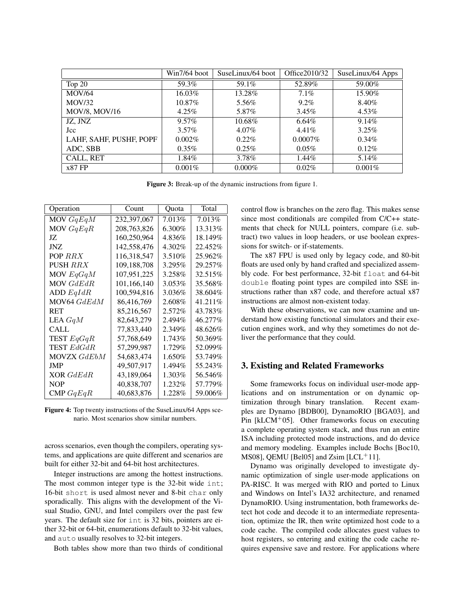|                         | $Win7/64$ boot | SuseLinux/64 boot | Office 2010/32 | SuseLinux/64 Apps |
|-------------------------|----------------|-------------------|----------------|-------------------|
| Top 20                  | 59.3%          | 59.1%             | 52.89%         | 59.00%            |
| <b>MOV/64</b>           | 16.03%         | 13.28%            | $7.1\%$        | 15.90%            |
| MOV/32                  | 10.87%         | 5.56%             | $9.2\%$        | 8.40%             |
| <b>MOV/8, MOV/16</b>    | $4.25\%$       | 5.87%             | $3.45\%$       | $4.53\%$          |
| JZ, JNZ                 | $9.57\%$       | 10.68%            | 6.64%          | $9.14\%$          |
| Jcc                     | $3.57\%$       | 4.07%             | 4.41%          | $3.25\%$          |
| LAHF, SAHF, PUSHF, POPF | $0.002\%$      | $0.22\%$          | $0.0007\%$     | $0.34\%$          |
| ADC, SBB                | $0.35\%$       | 0.25%             | $0.05\%$       | 0.12%             |
| CALL, RET               | 1.84%          | 3.78%             | 1.44%          | 5.14%             |
| $x87$ FP                | $0.001\%$      | $0.000\%$         | 0.02%          | $0.001\%$         |

Figure 3: Break-up of the dynamic instructions from figure 1.

| Operation          | Count       | Ouota   | Total    |
|--------------------|-------------|---------|----------|
| MOV $GqEqM$        | 232,397,067 | 7.013%  | 7.013%   |
| MOV $GqEqR$        | 208,763,826 | 6.300%  | 13.313%  |
| JZ.                | 160,250,964 | 4.836%  | 18.149%  |
| JNZ.               | 142,558,476 | 4.302%  | 22.452%  |
| POP RRX            | 116,318,547 | 3.510\% | 25.962%  |
| PUSH <i>RRX</i>    | 109,188,708 | 3.295%  | 29.257\% |
| MOV $EqGqM$        | 107,951,225 | 3.258%  | 32.515%  |
| MOV GdEdR          | 101,166,140 | 3.053%  | 35.568%  |
| ADD $EqIdR$        | 100,594,816 | 3.036%  | 38.604%  |
| MOV64 GdEdM        | 86,416,769  | 2.608%  | 41.211\% |
| <b>RET</b>         | 85,216,567  | 2.572%  | 43.783%  |
| LEA GqM            | 82,643,279  | 2.494%  | 46.277%  |
| CALL.              | 77,833,440  | 2.349%  | 48.626%  |
| TEST $EqGqR$       | 57,768,649  | 1.743%  | 50.369%  |
| <b>TEST</b> EdGdR  | 57,299,987  | 1.729%  | 52.099%  |
| <b>MOVZX</b> GdEbM | 54,683,474  | 1.650%  | 53.749%  |
| JMP                | 49,507,917  | 1.494%  | 55.243%  |
| XOR GdEdR          | 43,189,064  | 1.303%  | 56.546%  |
| <b>NOP</b>         | 40,838,707  | 1.232\% | 57.779%  |
| CMP $GqEqR$        | 40,683,876  | 1.228\% | 59.006%  |

Figure 4: Top twenty instructions of the SuseLinux/64 Apps scenario. Most scenarios show similar numbers.

across scenarios, even though the compilers, operating systems, and applications are quite different and scenarios are built for either 32-bit and 64-bit host architectures.

Integer instructions are among the hottest instructions. The most common integer type is the 32-bit wide int; 16-bit short is used almost never and 8-bit char only sporadically. This aligns with the development of the Visual Studio, GNU, and Intel compilers over the past few years. The default size for int is 32 bits, pointers are either 32-bit or 64-bit, enumerations default to 32-bit values, and auto usually resolves to 32-bit integers.

Both tables show more than two thirds of conditional

control flow is branches on the zero flag. This makes sense since most conditionals are compiled from C/C++ statements that check for NULL pointers, compare (i.e. subtract) two values in loop headers, or use boolean expressions for switch- or if-statements.

The x87 FPU is used only by legacy code, and 80-bit floats are used only by hand crafted and specialized assembly code. For best performance, 32-bit float and 64-bit double floating point types are compiled into SSE instructions rather than x87 code, and therefore actual x87 instructions are almost non-existent today.

With these observations, we can now examine and understand how existing functional simulators and their execution engines work, and why they sometimes do not deliver the performance that they could.

### 3. Existing and Related Frameworks

Some frameworks focus on individual user-mode applications and on instrumentation or on dynamic optimization through binary translation. Recent examples are Dynamo [BDB00], DynamoRIO [BGA03], and Pin [kLCM<sup>+</sup>05]. Other frameworks focus on executing a complete operating system stack, and thus run an entire ISA including protected mode instructions, and do device and memory modeling. Examples include Bochs [Boc10, MS08], QEMU [Bel05] and  $Zsim$  [LCL<sup>+</sup>11].

Dynamo was originally developed to investigate dynamic optimization of single user-mode applications on PA-RISC. It was merged with RIO and ported to Linux and Windows on Intel's IA32 architecture, and renamed DynamoRIO. Using instrumentation, both frameworks detect hot code and decode it to an intermediate representation, optimize the IR, then write optimized host code to a code cache. The compiled code allocates guest values to host registers, so entering and exiting the code cache requires expensive save and restore. For applications where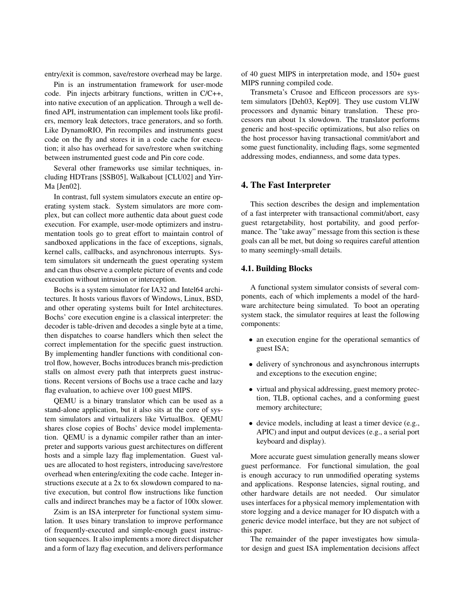entry/exit is common, save/restore overhead may be large.

Pin is an instrumentation framework for user-mode code. Pin injects arbitrary functions, written in C/C++, into native execution of an application. Through a well defined API, instrumentation can implement tools like profilers, memory leak detectors, trace generators, and so forth. Like DynamoRIO, Pin recompiles and instruments guest code on the fly and stores it in a code cache for execution; it also has overhead for save/restore when switching between instrumented guest code and Pin core code.

Several other frameworks use similar techniques, including HDTrans [SSB05], Walkabout [CLU02] and Yirr-Ma [Jen02].

In contrast, full system simulators execute an entire operating system stack. System simulators are more complex, but can collect more authentic data about guest code execution. For example, user-mode optimizers and instrumentation tools go to great effort to maintain control of sandboxed applications in the face of exceptions, signals, kernel calls, callbacks, and asynchronous interrupts. System simulators sit underneath the guest operating system and can thus observe a complete picture of events and code execution without intrusion or interception.

Bochs is a system simulator for IA32 and Intel64 architectures. It hosts various flavors of Windows, Linux, BSD, and other operating systems built for Intel architectures. Bochs' core execution engine is a classical interpreter: the decoder is table-driven and decodes a single byte at a time, then dispatches to coarse handlers which then select the correct implementation for the specific guest instruction. By implementing handler functions with conditional control flow, however, Bochs introduces branch mis-prediction stalls on almost every path that interprets guest instructions. Recent versions of Bochs use a trace cache and lazy flag evaluation, to achieve over 100 guest MIPS.

QEMU is a binary translator which can be used as a stand-alone application, but it also sits at the core of system simulators and virtualizers like VirtualBox. QEMU shares close copies of Bochs' device model implementation. QEMU is a dynamic compiler rather than an interpreter and supports various guest architectures on different hosts and a simple lazy flag implementation. Guest values are allocated to host registers, introducing save/restore overhead when entering/exiting the code cache. Integer instructions execute at a 2x to 6x slowdown compared to native execution, but control flow instructions like function calls and indirect branches may be a factor of 100x slower.

Zsim is an ISA interpreter for functional system simulation. It uses binary translation to improve performance of frequently-executed and simple-enough guest instruction sequences. It also implements a more direct dispatcher and a form of lazy flag execution, and delivers performance of 40 guest MIPS in interpretation mode, and 150+ guest MIPS running compiled code.

Transmeta's Crusoe and Efficeon processors are system simulators [Deh03, Kep09]. They use custom VLIW processors and dynamic binary translation. These processors run about 1x slowdown. The translator performs generic and host-specific optimizations, but also relies on the host processor having transactional commit/abort and some guest functionality, including flags, some segmented addressing modes, endianness, and some data types.

### 4. The Fast Interpreter

This section describes the design and implementation of a fast interpreter with transactional commit/abort, easy guest retargetability, host portability, and good performance. The "take away" message from this section is these goals can all be met, but doing so requires careful attention to many seemingly-small details.

### 4.1. Building Blocks

A functional system simulator consists of several components, each of which implements a model of the hardware architecture being simulated. To boot an operating system stack, the simulator requires at least the following components:

- an execution engine for the operational semantics of guest ISA;
- delivery of synchronous and asynchronous interrupts and exceptions to the execution engine;
- virtual and physical addressing, guest memory protection, TLB, optional caches, and a conforming guest memory architecture;
- device models, including at least a timer device (e.g., APIC) and input and output devices (e.g., a serial port keyboard and display).

More accurate guest simulation generally means slower guest performance. For functional simulation, the goal is enough accuracy to run unmodified operating systems and applications. Response latencies, signal routing, and other hardware details are not needed. Our simulator uses interfaces for a physical memory implementation with store logging and a device manager for IO dispatch with a generic device model interface, but they are not subject of this paper.

The remainder of the paper investigates how simulator design and guest ISA implementation decisions affect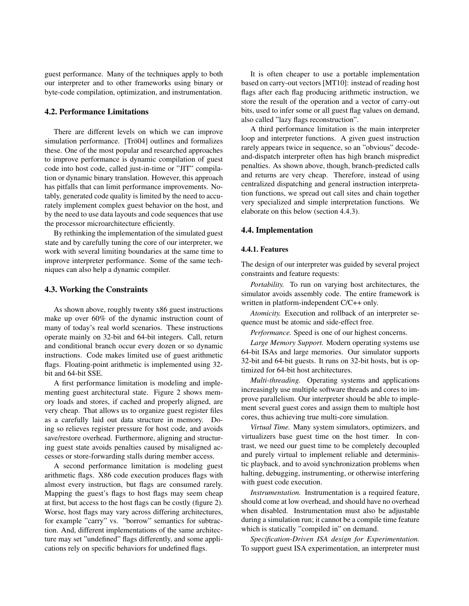guest performance. Many of the techniques apply to both our interpreter and to other frameworks using binary or byte-code compilation, optimization, and instrumentation.

### 4.2. Performance Limitations

There are different levels on which we can improve simulation performance. [Trö04] outlines and formalizes these. One of the most popular and researched approaches to improve performance is dynamic compilation of guest code into host code, called just-in-time or "JIT" compilation or dynamic binary translation. However, this approach has pitfalls that can limit performance improvements. Notably, generated code quality is limited by the need to accurately implement complex guest behavior on the host, and by the need to use data layouts and code sequences that use the processor microarchitecture efficiently.

By rethinking the implementation of the simulated guest state and by carefully tuning the core of our interpreter, we work with several limiting boundaries at the same time to improve interpreter performance. Some of the same techniques can also help a dynamic compiler.

### 4.3. Working the Constraints

As shown above, roughly twenty x86 guest instructions make up over 60% of the dynamic instruction count of many of today's real world scenarios. These instructions operate mainly on 32-bit and 64-bit integers. Call, return and conditional branch occur every dozen or so dynamic instructions. Code makes limited use of guest arithmetic flags. Floating-point arithmetic is implemented using 32bit and 64-bit SSE.

A first performance limitation is modeling and implementing guest architectural state. Figure 2 shows memory loads and stores, if cached and properly aligned, are very cheap. That allows us to organize guest register files as a carefully laid out data structure in memory. Doing so relieves register pressure for host code, and avoids save/restore overhead. Furthermore, aligning and structuring guest state avoids penalties caused by misaligned accesses or store-forwarding stalls during member access.

A second performance limitation is modeling guest arithmetic flags. X86 code execution produces flags with almost every instruction, but flags are consumed rarely. Mapping the guest's flags to host flags may seem cheap at first, but access to the host flags can be costly (figure 2). Worse, host flags may vary across differing architectures, for example "carry" vs. "borrow" semantics for subtraction. And, different implementations of the same architecture may set "undefined" flags differently, and some applications rely on specific behaviors for undefined flags.

It is often cheaper to use a portable implementation based on carry-out vectors [MT10]: instead of reading host flags after each flag producing arithmetic instruction, we store the result of the operation and a vector of carry-out bits, used to infer some or all guest flag values on demand, also called "lazy flags reconstruction".

A third performance limitation is the main interpreter loop and interpreter functions. A given guest instruction rarely appears twice in sequence, so an "obvious" decodeand-dispatch interpreter often has high branch mispredict penalties. As shown above, though, branch-predicted calls and returns are very cheap. Therefore, instead of using centralized dispatching and general instruction interpretation functions, we spread out call sites and chain together very specialized and simple interpretation functions. We elaborate on this below (section 4.4.3).

#### 4.4. Implementation

#### 4.4.1. Features

The design of our interpreter was guided by several project constraints and feature requests:

*Portability.* To run on varying host architectures, the simulator avoids assembly code. The entire framework is written in platform-independent C/C++ only.

*Atomicity.* Execution and rollback of an interpreter sequence must be atomic and side-effect free.

*Performance.* Speed is one of our highest concerns.

*Large Memory Support.* Modern operating systems use 64-bit ISAs and large memories. Our simulator supports 32-bit and 64-bit guests. It runs on 32-bit hosts, but is optimized for 64-bit host architectures.

*Multi-threading.* Operating systems and applications increasingly use multiple software threads and cores to improve parallelism. Our interpreter should be able to implement several guest cores and assign them to multiple host cores, thus achieving true multi-core simulation.

*Virtual Time.* Many system simulators, optimizers, and virtualizers base guest time on the host timer. In contrast, we need our guest time to be completely decoupled and purely virtual to implement reliable and deterministic playback, and to avoid synchronization problems when halting, debugging, instrumenting, or otherwise interfering with guest code execution.

*Instrumentation.* Instrumentation is a required feature, should come at low overhead, and should have no overhead when disabled. Instrumentation must also be adjustable during a simulation run; it cannot be a compile time feature which is statically "compiled in" on demand.

*Specification-Driven ISA design for Experimentation.* To support guest ISA experimentation, an interpreter must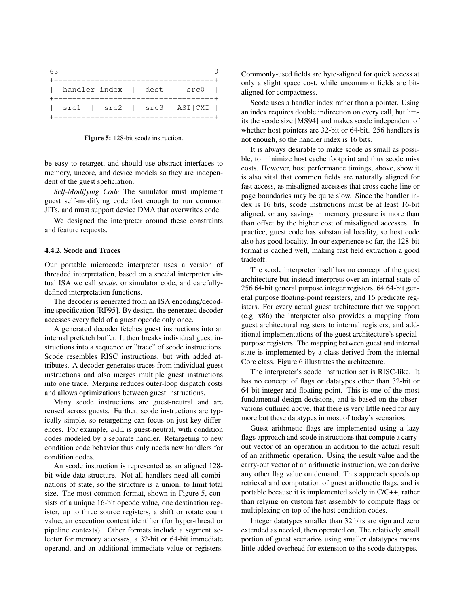| -63 |                                                                        |  |            |  |  |
|-----|------------------------------------------------------------------------|--|------------|--|--|
|     |                                                                        |  |            |  |  |
|     | handler index   dest   src0                                            |  |            |  |  |
|     | $\vert$ src1 $\vert$ src2 $\vert$ src3 $\vert$ ASI $\vert$ CXI $\vert$ |  | ---------- |  |  |

Figure 5: 128-bit scode instruction.

be easy to retarget, and should use abstract interfaces to memory, uncore, and device models so they are independent of the guest speficiation.

*Self-Modifying Code* The simulator must implement guest self-modifying code fast enough to run common JITs, and must support device DMA that overwrites code.

We designed the interpreter around these constraints and feature requests.

#### 4.4.2. Scode and Traces

Our portable microcode interpreter uses a version of threaded interpretation, based on a special interpreter virtual ISA we call *scode*, or simulator code, and carefullydefined interpretation functions.

The decoder is generated from an ISA encoding/decoding specification [RF95]. By design, the generated decoder accesses every field of a guest opcode only once.

A generated decoder fetches guest instructions into an internal prefetch buffer. It then breaks individual guest instructions into a sequence or "trace" of scode instructions. Scode resembles RISC instructions, but with added attributes. A decoder generates traces from individual guest instructions and also merges multiple guest instructions into one trace. Merging reduces outer-loop dispatch costs and allows optimizations between guest instructions.

Many scode instructions are guest-neutral and are reused across guests. Further, scode instructions are typically simple, so retargeting can focus on just key differences. For example, add is guest-neutral, with condition codes modeled by a separate handler. Retargeting to new condition code behavior thus only needs new handlers for condition codes.

An scode instruction is represented as an aligned 128 bit wide data structure. Not all handlers need all combinations of state, so the structure is a union, to limit total size. The most common format, shown in Figure 5, consists of a unique 16-bit opcode value, one destination register, up to three source registers, a shift or rotate count value, an execution context identifier (for hyper-thread or pipeline contexts). Other formats include a segment selector for memory accesses, a 32-bit or 64-bit immediate operand, and an additional immediate value or registers. Commonly-used fields are byte-aligned for quick access at only a slight space cost, while uncommon fields are bitaligned for compactness.

Scode uses a handler index rather than a pointer. Using an index requires double indirection on every call, but limits the scode size [MS94] and makes scode independent of whether host pointers are 32-bit or 64-bit. 256 handlers is not enough, so the handler index is 16 bits.

It is always desirable to make scode as small as possible, to minimize host cache footprint and thus scode miss costs. However, host performance timings, above, show it is also vital that common fields are naturally aligned for fast access, as misaligned accesses that cross cache line or page boundaries may be quite slow. Since the handler index is 16 bits, scode instructions must be at least 16-bit aligned, or any savings in memory pressure is more than than offset by the higher cost of misaligned accesses. In practice, guest code has substantial locality, so host code also has good locality. In our experience so far, the 128-bit format is cached well, making fast field extraction a good tradeoff.

The scode interpreter itself has no concept of the guest architecture but instead interprets over an internal state of 256 64-bit general purpose integer registers, 64 64-bit general purpose floating-point registers, and 16 predicate registers. For every actual guest architecture that we support (e.g. x86) the interpreter also provides a mapping from guest architectural registers to internal registers, and additional implementations of the guest architecture's specialpurpose registers. The mapping between guest and internal state is implemented by a class derived from the internal Core class. Figure 6 illustrates the architecture.

The interpreter's scode instruction set is RISC-like. It has no concept of flags or datatypes other than 32-bit or 64-bit integer and floating point. This is one of the most fundamental design decisions, and is based on the observations outlined above, that there is very little need for any more but these datatypes in most of today's scenarios.

Guest arithmetic flags are implemented using a lazy flags approach and scode instructions that compute a carryout vector of an operation in addition to the actual result of an arithmetic operation. Using the result value and the carry-out vector of an arithmetic instruction, we can derive any other flag value on demand. This approach speeds up retrieval and computation of guest arithmetic flags, and is portable because it is implemented solely in C/C++, rather than relying on custom fast assembly to compute flags or multiplexing on top of the host condition codes.

Integer datatypes smaller than 32 bits are sign and zero extended as needed, then operated on. The relatively small portion of guest scenarios using smaller datatypes means little added overhead for extension to the scode datatypes.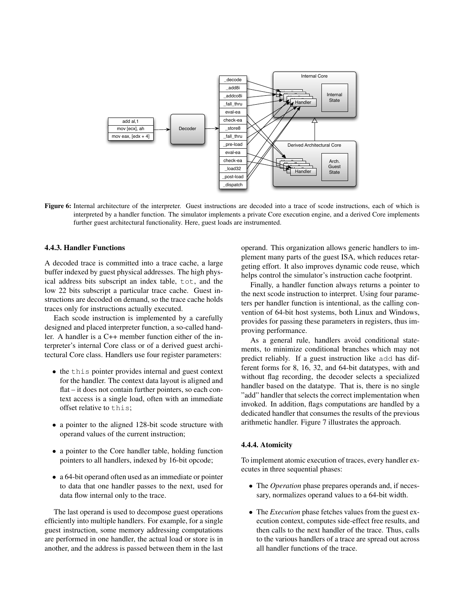

Figure 6: Internal architecture of the interpreter. Guest instructions are decoded into a trace of scode instructions, each of which is interpreted by a handler function. The simulator implements a private Core execution engine, and a derived Core implements further guest architectural functionality. Here, guest loads are instrumented.

### 4.4.3. Handler Functions

A decoded trace is committed into a trace cache, a large buffer indexed by guest physical addresses. The high physical address bits subscript an index table, tot, and the low 22 bits subscript a particular trace cache. Guest instructions are decoded on demand, so the trace cache holds traces only for instructions actually executed.

Each scode instruction is implemented by a carefully designed and placed interpreter function, a so-called handler. A handler is a C++ member function either of the interpreter's internal Core class or of a derived guest architectural Core class. Handlers use four register parameters:

- the this pointer provides internal and guest context for the handler. The context data layout is aligned and flat – it does not contain further pointers, so each context access is a single load, often with an immediate offset relative to this;
- a pointer to the aligned 128-bit scode structure with operand values of the current instruction;
- a pointer to the Core handler table, holding function pointers to all handlers, indexed by 16-bit opcode;
- a 64-bit operand often used as an immediate or pointer to data that one handler passes to the next, used for data flow internal only to the trace.

The last operand is used to decompose guest operations efficiently into multiple handlers. For example, for a single guest instruction, some memory addressing computations are performed in one handler, the actual load or store is in another, and the address is passed between them in the last

operand. This organization allows generic handlers to implement many parts of the guest ISA, which reduces retargeting effort. It also improves dynamic code reuse, which helps control the simulator's instruction cache footprint.

Finally, a handler function always returns a pointer to the next scode instruction to interpret. Using four parameters per handler function is intentional, as the calling convention of 64-bit host systems, both Linux and Windows, provides for passing these parameters in registers, thus improving performance.

As a general rule, handlers avoid conditional statements, to minimize conditional branches which may not predict reliably. If a guest instruction like add has different forms for 8, 16, 32, and 64-bit datatypes, with and without flag recording, the decoder selects a specialized handler based on the datatype. That is, there is no single "add" handler that selects the correct implementation when invoked. In addition, flags computations are handled by a dedicated handler that consumes the results of the previous arithmetic handler. Figure 7 illustrates the approach.

#### 4.4.4. Atomicity

To implement atomic execution of traces, every handler executes in three sequential phases:

- The *Operation* phase prepares operands and, if necessary, normalizes operand values to a 64-bit width.
- The *Execution* phase fetches values from the guest execution context, computes side-effect free results, and then calls to the next handler of the trace. Thus, calls to the various handlers of a trace are spread out across all handler functions of the trace.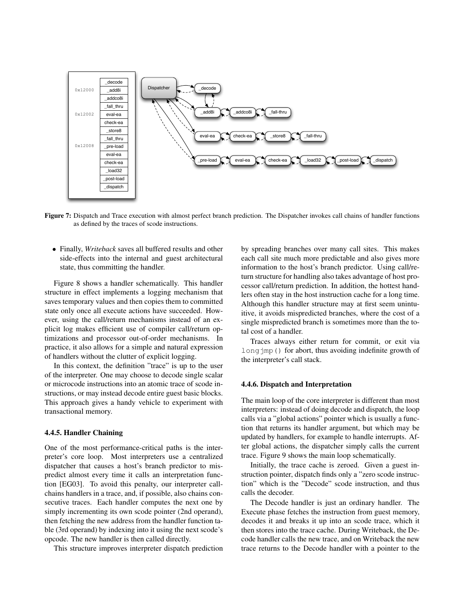

Figure 7: Dispatch and Trace execution with almost perfect branch prediction. The Dispatcher invokes call chains of handler functions as defined by the traces of scode instructions.

• Finally, *Writeback* saves all buffered results and other side-effects into the internal and guest architectural state, thus committing the handler.

Figure 8 shows a handler schematically. This handler structure in effect implements a logging mechanism that saves temporary values and then copies them to committed state only once all execute actions have succeeded. However, using the call/return mechanisms instead of an explicit log makes efficient use of compiler call/return optimizations and processor out-of-order mechanisms. In practice, it also allows for a simple and natural expression of handlers without the clutter of explicit logging.

In this context, the definition "trace" is up to the user of the interpreter. One may choose to decode single scalar or microcode instructions into an atomic trace of scode instructions, or may instead decode entire guest basic blocks. This approach gives a handy vehicle to experiment with transactional memory.

#### 4.4.5. Handler Chaining

One of the most performance-critical paths is the interpreter's core loop. Most interpreters use a centralized dispatcher that causes a host's branch predictor to mispredict almost every time it calls an interpretation function [EG03]. To avoid this penalty, our interpreter callchains handlers in a trace, and, if possible, also chains consecutive traces. Each handler computes the next one by simply incrementing its own scode pointer (2nd operand), then fetching the new address from the handler function table (3rd operand) by indexing into it using the next scode's opcode. The new handler is then called directly.

This structure improves interpreter dispatch prediction

by spreading branches over many call sites. This makes each call site much more predictable and also gives more information to the host's branch predictor. Using call/return structure for handling also takes advantage of host processor call/return prediction. In addition, the hottest handlers often stay in the host instruction cache for a long time. Although this handler structure may at first seem unintuitive, it avoids mispredicted branches, where the cost of a single mispredicted branch is sometimes more than the total cost of a handler.

Traces always either return for commit, or exit via long $\gamma$ mp() for abort, thus avoiding indefinite growth of the interpreter's call stack.

#### 4.4.6. Dispatch and Interpretation

The main loop of the core interpreter is different than most interpreters: instead of doing decode and dispatch, the loop calls via a "global actions" pointer which is usually a function that returns its handler argument, but which may be updated by handlers, for example to handle interrupts. After global actions, the dispatcher simply calls the current trace. Figure 9 shows the main loop schematically.

Initially, the trace cache is zeroed. Given a guest instruction pointer, dispatch finds only a "zero scode instruction" which is the "Decode" scode instruction, and thus calls the decoder.

The Decode handler is just an ordinary handler. The Execute phase fetches the instruction from guest memory, decodes it and breaks it up into an scode trace, which it then stores into the trace cache. During Writeback, the Decode handler calls the new trace, and on Writeback the new trace returns to the Decode handler with a pointer to the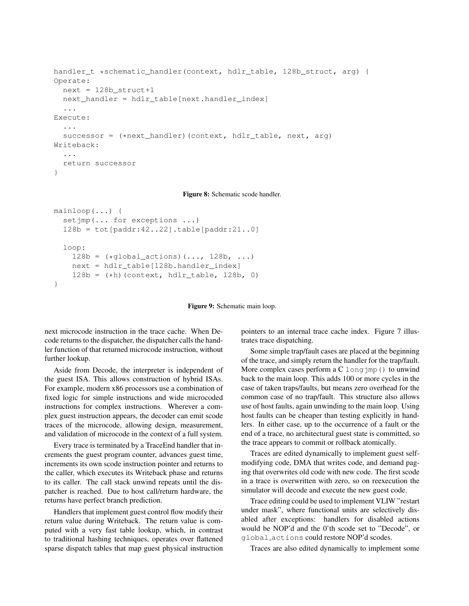```
handler_t *schematic_handler(context, hdlr_table, 128b_struct, arg) {
Operate:
  next = 128b__struct+1
  next_handler = hdlr_table[next.handler_index]
  ...
Execute:
  ...
  successor = (*next handler)(context, hdlr table, next, arg)
Writeback:
  ...
  return successor
}
```
Figure 8: Schematic scode handler.

```
mainloop(...) {
  setimp(... for exceptions ...)
  128b = tot[paddr:42..22].table[paddr:21..0]
  loop:
    128b = (*global_actions)(\ldots, 128b, \ldots)next = hdlr_table[128b.handler_index]
    128b = (*h) (context, hdlr table, 128b, 0)
}
```
Figure 9: Schematic main loop.

next microcode instruction in the trace cache. When Decode returns to the dispatcher, the dispatcher calls the handler function of that returned microcode instruction, without further lookup.

Aside from Decode, the interpreter is independent of the guest ISA. This allows construction of hybrid ISAs. For example, modern x86 processors use a combination of fixed logic for simple instructions and wide microcoded instructions for complex instructions. Wherever a complex guest instruction appears, the decoder can emit scode traces of the microcode, allowing design, measurement, and validation of microcode in the context of a full system.

Every trace is terminated by a TraceEnd handler that increments the guest program counter, advances guest time, increments its own scode instruction pointer and returns to the caller, which executes its Writeback phase and returns to its caller. The call stack unwind repeats until the dispatcher is reached. Due to host call/return hardware, the returns have perfect branch prediction.

Handlers that implement guest control flow modify their return value during Writeback. The return value is computed with a very fast table lookup, which, in contrast to traditional hashing techniques, operates over flattened sparse dispatch tables that map guest physical instruction pointers to an internal trace cache index. Figure 7 illustrates trace dispatching.

Some simple trap/fault cases are placed at the beginning of the trace, and simply return the handler for the trap/fault. More complex cases perform a  $C \text{ long-imp}$  () to unwind back to the main loop. This adds 100 or more cycles in the case of taken traps/faults, but means zero overhead for the common case of no trap/fault. This structure also allows use of host faults, again unwinding to the main loop. Using host faults can be cheaper than testing explicitly in handlers. In either case, up to the occurrence of a fault or the end of a trace, no architectural guest state is committed, so the trace appears to commit or rollback atomically.

Traces are edited dynamically to implement guest selfmodifying code, DMA that writes code, and demand paging that overwrites old code with new code. The first scode in a trace is overwritten with zero, so on reexecution the simulator will decode and execute the new guest code.

Trace editing could be used to implement VLIW "restart under mask", where functional units are selectively disabled after exceptions: handlers for disabled actions would be NOP'd and the 0'th scode set to "Decode", or global actions could restore NOP'd scodes.

Traces are also edited dynamically to implement some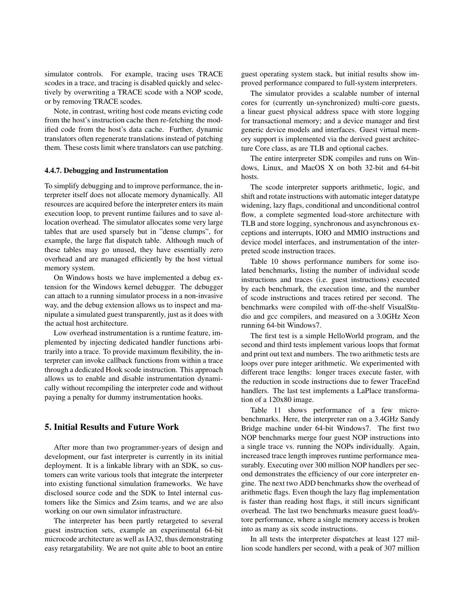simulator controls. For example, tracing uses TRACE scodes in a trace, and tracing is disabled quickly and selectively by overwriting a TRACE scode with a NOP scode, or by removing TRACE scodes.

Note, in contrast, writing host code means evicting code from the host's instruction cache then re-fetching the modified code from the host's data cache. Further, dynamic translators often regenerate translations instead of patching them. These costs limit where translators can use patching.

#### 4.4.7. Debugging and Instrumentation

To simplify debugging and to improve performance, the interpreter itself does not allocate memory dynamically. All resources are acquired before the interpreter enters its main execution loop, to prevent runtime failures and to save allocation overhead. The simulator allocates some very large tables that are used sparsely but in "dense clumps", for example, the large flat dispatch table. Although much of these tables may go unused, they have essentially zero overhead and are managed efficiently by the host virtual memory system.

On Windows hosts we have implemented a debug extension for the Windows kernel debugger. The debugger can attach to a running simulator process in a non-invasive way, and the debug extension allows us to inspect and manipulate a simulated guest transparently, just as it does with the actual host architecture.

Low overhead instrumentation is a runtime feature, implemented by injecting dedicated handler functions arbitrarily into a trace. To provide maximum flexibility, the interpreter can invoke callback functions from within a trace through a dedicated Hook scode instruction. This approach allows us to enable and disable instrumentation dynamically without recompiling the interpreter code and without paying a penalty for dummy instrumentation hooks.

# 5. Initial Results and Future Work

After more than two programmer-years of design and development, our fast interpreter is currently in its initial deployment. It is a linkable library with an SDK, so customers can write various tools that integrate the interpreter into existing functional simulation frameworks. We have disclosed source code and the SDK to Intel internal customers like the Simics and Zsim teams, and we are also working on our own simulator infrastructure.

The interpreter has been partly retargeted to several guest instruction sets, example an experimental 64-bit microcode architecture as well as IA32, thus demonstrating easy retargatability. We are not quite able to boot an entire guest operating system stack, but initial results show improved performance compared to full-system interpreters.

The simulator provides a scalable number of internal cores for (currently un-synchronized) multi-core guests, a linear guest physical address space with store logging for transactional memory; and a device manager and first generic device models and interfaces. Guest virtual memory support is implemented via the derived guest architecture Core class, as are TLB and optional caches.

The entire interpreter SDK compiles and runs on Windows, Linux, and MacOS X on both 32-bit and 64-bit hosts.

The scode interpreter supports arithmetic, logic, and shift and rotate instructions with automatic integer datatype widening, lazy flags, conditional and unconditional control flow, a complete segmented load-store architecture with TLB and store logging, synchronous and asynchronous exceptions and interrupts, IOIO and MMIO instructions and device model interfaces, and instrumentation of the interpreted scode instruction traces.

Table 10 shows performance numbers for some isolated benchmarks, listing the number of individual scode instructions and traces (i.e. guest instructions) executed by each benchmark, the execution time, and the number of scode instructions and traces retired per second. The benchmarks were compiled with off-the-shelf VisualStudio and gcc compilers, and measured on a 3.0GHz Xeon running 64-bit Windows7.

The first test is a simple HelloWorld program, and the second and third tests implement various loops that format and print out text and numbers. The two arithmetic tests are loops over pure integer arithmetic. We experimented with different trace lengths: longer traces execute faster, with the reduction in scode instructions due to fewer TraceEnd handlers. The last test implements a LaPlace transformation of a 120x80 image.

Table 11 shows performance of a few microbenchmarks. Here, the interpreter ran on a 3.4GHz Sandy Bridge machine under 64-bit Windows7. The first two NOP benchmarks merge four guest NOP instructions into a single trace vs. running the NOPs individually. Again, increased trace length improves runtime performance measurably. Executing over 300 million NOP handlers per second demonstrates the efficiency of our core interpreter engine. The next two ADD benchmarks show the overhead of arithmetic flags. Even though the lazy flag implementation is faster than reading host flags, it still incurs significant overhead. The last two benchmarks measure guest load/store performance, where a single memory access is broken into as many as six scode instructions.

In all tests the interpreter dispatches at least 127 million scode handlers per second, with a peak of 307 million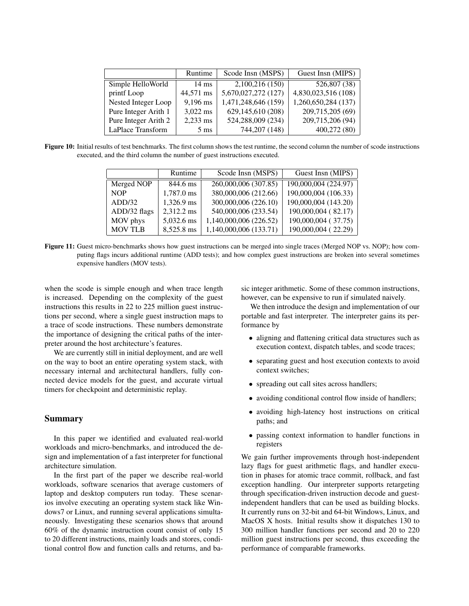|                      | Runtime         | Scode Insn (MSPS)   | Guest Insn (MIPS)   |
|----------------------|-----------------|---------------------|---------------------|
| Simple HelloWorld    | $14 \text{ ms}$ | 2,100,216 (150)     | 526,807 (38)        |
| printf Loop          | 44,571 ms       | 5,670,027,272 (127) | 4,830,023,516(108)  |
| Nested Integer Loop  | $9,196$ ms      | 1,471,248,646 (159) | 1,260,650,284 (137) |
| Pure Integer Arith 1 | $3,022$ ms      | 629,145,610 (208)   | 209,715,205 (69)    |
| Pure Integer Arith 2 | $2,233$ ms      | 524,288,009 (234)   | 209,715,206 (94)    |
| LaPlace Transform    | $5 \text{ ms}$  | 744,207 (148)       | 400,272 (80)        |

Figure 10: Initial results of test benchmarks. The first column shows the test runtime, the second column the number of scode instructions executed, and the third column the number of guest instructions executed.

|                | Runtime    | Scode Insn (MSPS)      | Guest Insn (MIPS)    |
|----------------|------------|------------------------|----------------------|
| Merged NOP     | 844.6 ms   | 260,000,006 (307.85)   | 190,000,004 (224.97) |
| <b>NOP</b>     | 1,787.0 ms | 380,000,006 (212.66)   | 190,000,004 (106.33) |
| ADD/32         | 1,326.9 ms | 300,000,006 (226.10)   | 190,000,004 (143.20) |
| ADD/32 flags   | 2,312.2 ms | 540,000,006 (233.54)   | 190,000,004 (82.17)  |
| MOV phys       | 5,032.6 ms | 1,140,000,006 (226.52) | 190,000,004 (37.75)  |
| <b>MOV TLB</b> | 8,525.8 ms | 1,140,000,006 (133.71) | 190,000,004 (22.29)  |

Figure 11: Guest micro-benchmarks shows how guest instructions can be merged into single traces (Merged NOP vs. NOP); how computing flags incurs additional runtime (ADD tests); and how complex guest instructions are broken into several sometimes expensive handlers (MOV tests).

when the scode is simple enough and when trace length is increased. Depending on the complexity of the guest instructions this results in 22 to 225 million guest instructions per second, where a single guest instruction maps to a trace of scode instructions. These numbers demonstrate the importance of designing the critical paths of the interpreter around the host architecture's features.

We are currently still in initial deployment, and are well on the way to boot an entire operating system stack, with necessary internal and architectural handlers, fully connected device models for the guest, and accurate virtual timers for checkpoint and deterministic replay.

## Summary

In this paper we identified and evaluated real-world workloads and micro-benchmarks, and introduced the design and implementation of a fast interpreter for functional architecture simulation.

In the first part of the paper we describe real-world workloads, software scenarios that average customers of laptop and desktop computers run today. These scenarios involve executing an operating system stack like Windows7 or Linux, and running several applications simultaneously. Investigating these scenarios shows that around 60% of the dynamic instruction count consist of only 15 to 20 different instructions, mainly loads and stores, conditional control flow and function calls and returns, and basic integer arithmetic. Some of these common instructions, however, can be expensive to run if simulated naively.

We then introduce the design and implementation of our portable and fast interpreter. The interpreter gains its performance by

- aligning and flattening critical data structures such as execution context, dispatch tables, and scode traces;
- separating guest and host execution contexts to avoid context switches;
- spreading out call sites across handlers;
- avoiding conditional control flow inside of handlers;
- avoiding high-latency host instructions on critical paths; and
- passing context information to handler functions in registers

We gain further improvements through host-independent lazy flags for guest arithmetic flags, and handler execution in phases for atomic trace commit, rollback, and fast exception handling. Our interpreter supports retargeting through specification-driven instruction decode and guestindependent handlers that can be used as building blocks. It currently runs on 32-bit and 64-bit Windows, Linux, and MacOS X hosts. Initial results show it dispatches 130 to 300 million handler functions per second and 20 to 220 million guest instructions per second, thus exceeding the performance of comparable frameworks.